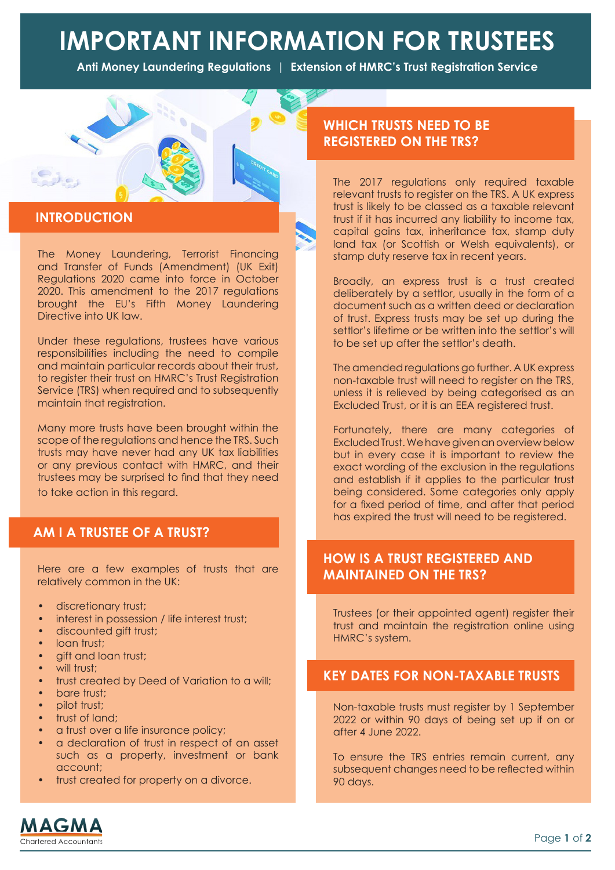# **IMPORTANT INFORMATION FOR TRUSTEES**

**Anti Money Laundering Regulations | Extension of HMRC's Trust Registration Service**

#### **INTRODUCTION**

The Money Laundering, Terrorist Financing and Transfer of Funds (Amendment) (UK Exit) Regulations 2020 came into force in October 2020. This amendment to the 2017 regulations brought the EU's Fifth Money Laundering Directive into UK law.

Under these regulations, trustees have various responsibilities including the need to compile and maintain particular records about their trust, to register their trust on HMRC's Trust Registration Service (TRS) when required and to subsequently maintain that registration.

Many more trusts have been brought within the scope of the regulations and hence the TRS. Such trusts may have never had any UK tax liabilities or any previous contact with HMRC, and their trustees may be surprised to find that they need to take action in this regard.

### **AM I A TRUSTEE OF A TRUST?**

Here are a few examples of trusts that are relatively common in the UK:

- discretionary trust;
- interest in possession / life interest trust;
- discounted gift trust;
- loan trust:
- aift and loan trust;
- will trust:
- trust created by Deed of Variation to a will;
- bare trust:
- pilot trust;
- trust of land;
- a trust over a life insurance policy;
- a declaration of trust in respect of an asset such as a property, investment or bank account;
- trust created for property on a divorce.

### **WHICH TRUSTS NEED TO BE REGISTERED ON THE TRS?**

The 2017 regulations only required taxable relevant trusts to register on the TRS. A UK express trust is likely to be classed as a taxable relevant trust if it has incurred any liability to income tax, capital gains tax, inheritance tax, stamp duty land tax (or Scottish or Welsh equivalents), or stamp duty reserve tax in recent years.

Broadly, an express trust is a trust created deliberately by a settlor, usually in the form of a document such as a written deed or declaration of trust. Express trusts may be set up during the settlor's lifetime or be written into the settlor's will to be set up after the settlor's death.

The amended regulations go further. A UK express non-taxable trust will need to register on the TRS, unless it is relieved by being categorised as an Excluded Trust, or it is an EEA registered trust.

Fortunately, there are many categories of Excluded Trust. We have given an overview below but in every case it is important to review the exact wording of the exclusion in the regulations and establish if it applies to the particular trust being considered. Some categories only apply for a fixed period of time, and after that period has expired the trust will need to be registered.

### **HOW IS A TRUST REGISTERED AND MAINTAINED ON THE TRS?**

Trustees (or their appointed agent) register their trust and maintain the registration online using HMRC's system.

### **KEY DATES FOR NON-TAXABLE TRUSTS**

Non-taxable trusts must register by 1 September 2022 or within 90 days of being set up if on or after 4 June 2022.

To ensure the TRS entries remain current, any subsequent changes need to be reflected within 90 days.